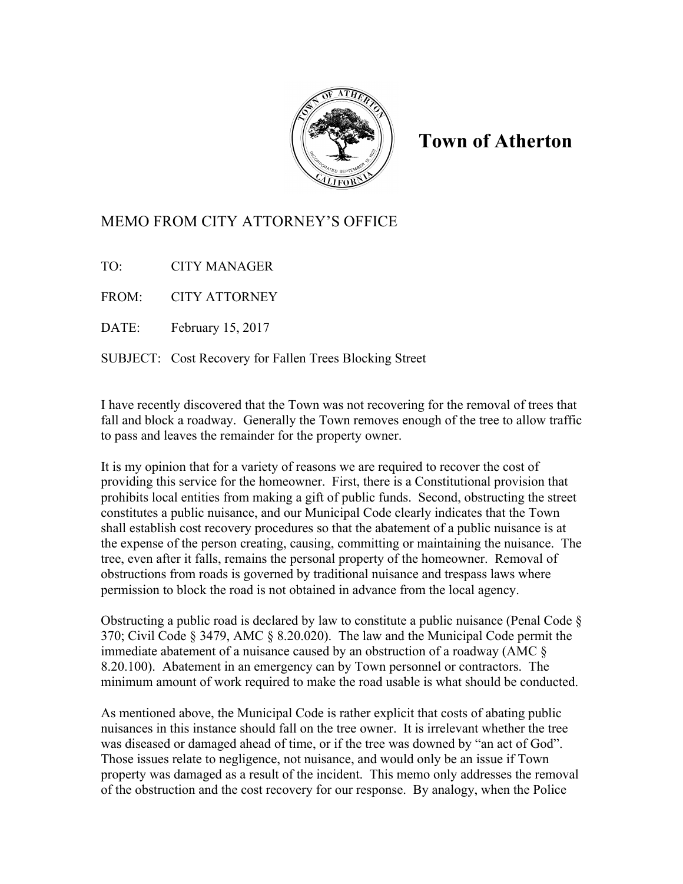

## **Town of Atherton**

## MEMO FROM CITY ATTORNEY'S OFFICE

TO: CITY MANAGER

FROM: CITY ATTORNEY

DATE: February 15, 2017

SUBJECT: Cost Recovery for Fallen Trees Blocking Street

I have recently discovered that the Town was not recovering for the removal of trees that fall and block a roadway. Generally the Town removes enough of the tree to allow traffic to pass and leaves the remainder for the property owner.

It is my opinion that for a variety of reasons we are required to recover the cost of providing this service for the homeowner. First, there is a Constitutional provision that prohibits local entities from making a gift of public funds. Second, obstructing the street constitutes a public nuisance, and our Municipal Code clearly indicates that the Town shall establish cost recovery procedures so that the abatement of a public nuisance is at the expense of the person creating, causing, committing or maintaining the nuisance. The tree, even after it falls, remains the personal property of the homeowner. Removal of obstructions from roads is governed by traditional nuisance and trespass laws where permission to block the road is not obtained in advance from the local agency.

Obstructing a public road is declared by law to constitute a public nuisance (Penal Code § 370; Civil Code § 3479, AMC § 8.20.020). The law and the Municipal Code permit the immediate abatement of a nuisance caused by an obstruction of a roadway (AMC § 8.20.100). Abatement in an emergency can by Town personnel or contractors. The minimum amount of work required to make the road usable is what should be conducted.

As mentioned above, the Municipal Code is rather explicit that costs of abating public nuisances in this instance should fall on the tree owner. It is irrelevant whether the tree was diseased or damaged ahead of time, or if the tree was downed by "an act of God". Those issues relate to negligence, not nuisance, and would only be an issue if Town property was damaged as a result of the incident. This memo only addresses the removal of the obstruction and the cost recovery for our response. By analogy, when the Police